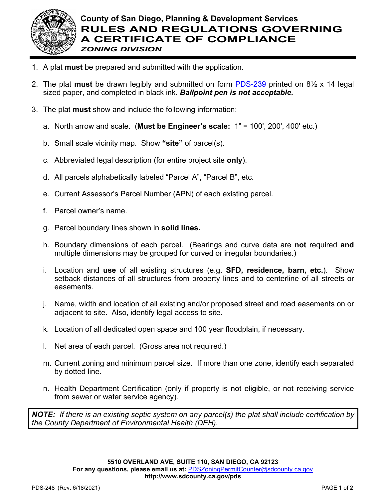

- 1. A plat **must** be prepared and submitted with the application.
- 2. The plat **must** be drawn legibly and submitted on form [PDS-239](http://www.sdcounty.ca.gov/pds/zoning/formfields/PDS-239.pdf) printed on 8½ x 14 legal sized paper, and completed in black ink. *Ballpoint pen is not acceptable.*
- 3. The plat **must** show and include the following information:
	- a. North arrow and scale. (**Must be Engineer's scale:** 1" = 100', 200', 400' etc.)
	- b. Small scale vicinity map. Show **"site"** of parcel(s).
	- c. Abbreviated legal description (for entire project site **only**).
	- d. All parcels alphabetically labeled "Parcel A", "Parcel B", etc.
	- e. Current Assessor's Parcel Number (APN) of each existing parcel.
	- f. Parcel owner's name.
	- g. Parcel boundary lines shown in **solid lines.**
	- h. Boundary dimensions of each parcel. (Bearings and curve data are **not** required **and** multiple dimensions may be grouped for curved or irregular boundaries.)
	- i. Location and **use** of all existing structures (e.g. **SFD, residence, barn, etc.**). Show setback distances of all structures from property lines and to centerline of all streets or easements.
	- j. Name, width and location of all existing and/or proposed street and road easements on or adjacent to site. Also, identify legal access to site.
	- k. Location of all dedicated open space and 100 year floodplain, if necessary.
	- l. Net area of each parcel. (Gross area not required.)
	- m. Current zoning and minimum parcel size. If more than one zone, identify each separated by dotted line.
	- n. Health Department Certification (only if property is not eligible, or not receiving service from sewer or water service agency).

*NOTE: If there is an existing septic system on any parcel(s) the plat shall include certification by the County Department of Environmental Health (DEH).*